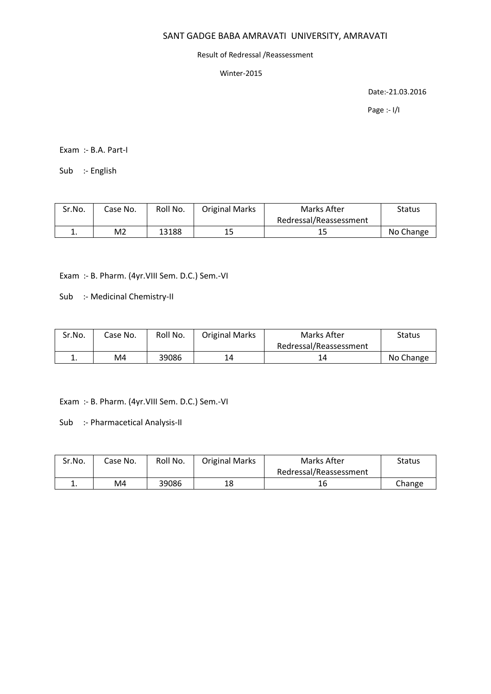## Result of Redressal /Reassessment

Winter-2015

Date:-21.03.2016

Page :- I/I

Exam :- B.A. Part-I

Sub :- English

| Sr.No. | Case No. | Roll No. | <b>Original Marks</b> | Marks After            | Status    |
|--------|----------|----------|-----------------------|------------------------|-----------|
|        |          |          |                       | Redressal/Reassessment |           |
| ᅩ.     | M2       | 13188    | 15                    | ــ ـ                   | No Change |

Exam :- B. Pharm. (4yr.VIII Sem. D.C.) Sem.-VI

Sub :- Medicinal Chemistry-II

| Sr.No. | Case No. | Roll No. | <b>Original Marks</b> | Marks After            | Status    |
|--------|----------|----------|-----------------------|------------------------|-----------|
|        |          |          |                       | Redressal/Reassessment |           |
|        | M4       | 39086    | 14                    |                        | No Change |

Exam :- B. Pharm. (4yr.VIII Sem. D.C.) Sem.-VI

Sub :- Pharmacetical Analysis-II

| Sr.No.   | Case No. | Roll No. | <b>Original Marks</b> | Marks After            | Status |
|----------|----------|----------|-----------------------|------------------------|--------|
|          |          |          |                       | Redressal/Reassessment |        |
| <b>.</b> | M4       | 39086    | 18                    | 16                     | Change |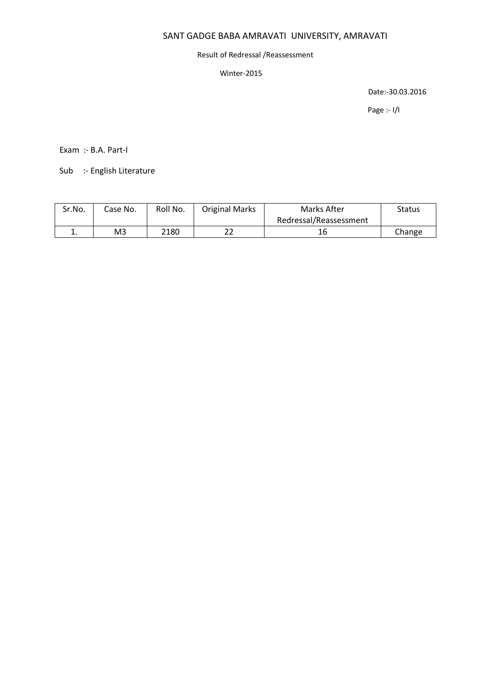# Result of Redressal /Reassessment

## Winter-2015

Date:-30.03.2016

Page :- I/I

Exam :- B.A. Part-I

Sub :- English Literature

| Sr.No. | Case No. | Roll No. | <b>Original Marks</b> | Marks After            | <b>Status</b> |
|--------|----------|----------|-----------------------|------------------------|---------------|
|        |          |          |                       | Redressal/Reassessment |               |
| --     | M3       | 2180     |                       |                        | Change        |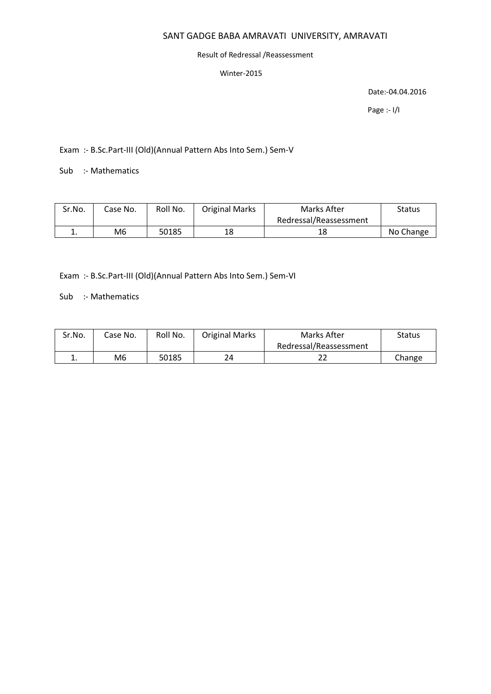## Result of Redressal /Reassessment

#### Winter-2015

Date:-04.04.2016

Page :- I/I

Exam :- B.Sc.Part-III (Old)(Annual Pattern Abs Into Sem.) Sem-V

Sub :- Mathematics

| Sr.No.   | Case No. | Roll No. | <b>Original Marks</b> | Marks After            | Status    |
|----------|----------|----------|-----------------------|------------------------|-----------|
|          |          |          |                       | Redressal/Reassessment |           |
| <b>.</b> | M6       | 50185    | 18                    | 18                     | No Change |

Exam :- B.Sc.Part-III (Old)(Annual Pattern Abs Into Sem.) Sem-VI

Sub :- Mathematics

| Sr.No. | Case No. | Roll No. | <b>Original Marks</b> | Marks After            | Status |
|--------|----------|----------|-----------------------|------------------------|--------|
|        |          |          |                       | Redressal/Reassessment |        |
| ∸.     | M6       | 50185    | 24                    | ∠∠                     | Change |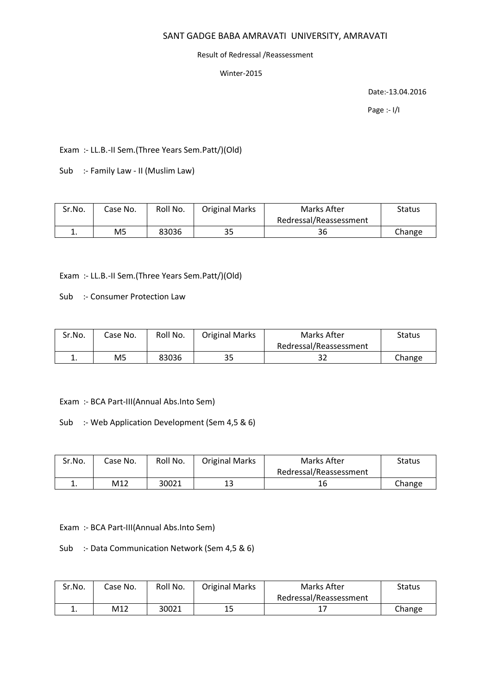#### Result of Redressal /Reassessment

## Winter-2015

Date:-13.04.2016

Page :- I/I

Exam :- LL.B.-II Sem.(Three Years Sem.Patt/)(Old)

Sub :- Family Law - II (Muslim Law)

| Sr.No.   | Case No. | Roll No. | <b>Original Marks</b> | Marks After            | Status |
|----------|----------|----------|-----------------------|------------------------|--------|
|          |          |          |                       | Redressal/Reassessment |        |
| <b>.</b> | M5       | 83036    | 35                    | 36                     | Change |

Exam :- LL.B.-II Sem.(Three Years Sem.Patt/)(Old)

Sub :- Consumer Protection Law

| Sr.No. | Case No. | Roll No. | <b>Original Marks</b> | Marks After            | Status |
|--------|----------|----------|-----------------------|------------------------|--------|
|        |          |          |                       | Redressal/Reassessment |        |
|        | M5       | 83036    | 35                    | 32                     | Change |

Exam :- BCA Part-III(Annual Abs.Into Sem)

Sub :- Web Application Development (Sem 4,5 & 6)

| Sr.No. | Case No. | Roll No. | <b>Original Marks</b> | Marks After            | Status |
|--------|----------|----------|-----------------------|------------------------|--------|
|        |          |          |                       | Redressal/Reassessment |        |
| ᅩ.     | M12      | 30021    |                       |                        | Change |

Exam :- BCA Part-III(Annual Abs.Into Sem)

Sub :- Data Communication Network (Sem 4,5 & 6)

| Sr.No. | Case No. | Roll No. | <b>Original Marks</b> | Marks After            | Status |
|--------|----------|----------|-----------------------|------------------------|--------|
|        |          |          |                       | Redressal/Reassessment |        |
| ᅩ.     | M12      | 30021    | 15                    |                        | Change |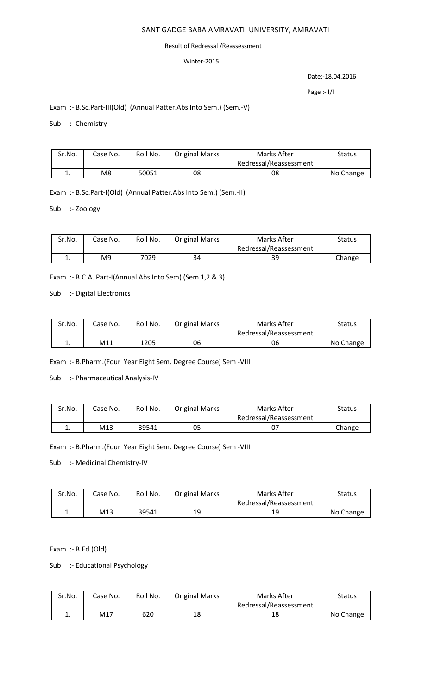## Result of Redressal /Reassessment

# Winter-2015

Date:-18.04.2016

Page :- I/I

# Exam :- B.Sc.Part-III(Old) (Annual Patter.Abs Into Sem.) (Sem.-V)

Sub :- Chemistry

| Sr.No. | Case No. | Roll No. | <b>Original Marks</b> | Marks After            | <b>Status</b> |
|--------|----------|----------|-----------------------|------------------------|---------------|
|        |          |          |                       | Redressal/Reassessment |               |
|        | M8       | 50051    | 08                    | 08                     | No Change     |

Exam :- B.Sc.Part-I(Old) (Annual Patter.Abs Into Sem.) (Sem.-II)

Sub :- Zoology

| Sr.No. | Case No. | Roll No. | <b>Original Marks</b> | Marks After            | Status |
|--------|----------|----------|-----------------------|------------------------|--------|
|        |          |          |                       | Redressal/Reassessment |        |
| ∸.     | M9       | 7029     | 34                    | 39                     | Change |

Exam :- B.C.A. Part-I(Annual Abs.Into Sem) (Sem 1,2 & 3)

Sub :- Digital Electronics

| Sr.No. | Case No. | Roll No. | <b>Original Marks</b> | Marks After            | <b>Status</b> |
|--------|----------|----------|-----------------------|------------------------|---------------|
|        |          |          |                       | Redressal/Reassessment |               |
| . .    | M11      | 1205     | 06                    | 06                     | No Change     |

Exam :- B.Pharm.(Four Year Eight Sem. Degree Course) Sem -VIII

Sub :- Pharmaceutical Analysis-IV

| Sr.No. | Case No. | Roll No. | <b>Original Marks</b> | Marks After            | Status |
|--------|----------|----------|-----------------------|------------------------|--------|
|        |          |          |                       | Redressal/Reassessment |        |
| ∸.     | M13      | 39541    | 05                    |                        | Change |

Exam :- B.Pharm.(Four Year Eight Sem. Degree Course) Sem -VIII

Sub :- Medicinal Chemistry-IV

| Sr.No. | Case No. | Roll No. | <b>Original Marks</b> | Marks After            | Status    |
|--------|----------|----------|-----------------------|------------------------|-----------|
|        |          |          |                       | Redressal/Reassessment |           |
| . .    | M13      | 39541    | 19                    | 19                     | No Change |

Exam :- B.Ed.(Old)

Sub :- Educational Psychology

| Sr.No. | Case No. | Roll No. | <b>Original Marks</b> | Marks After            | Status    |
|--------|----------|----------|-----------------------|------------------------|-----------|
|        |          |          |                       | Redressal/Reassessment |           |
| . .    | M17      | 620      | 18                    | 18                     | No Change |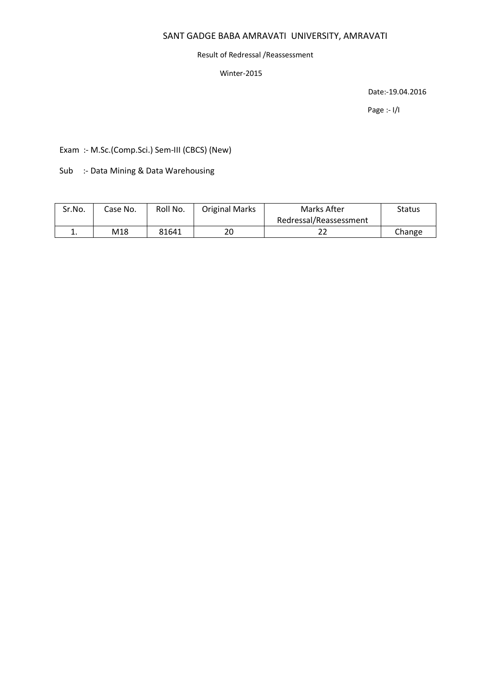## Result of Redressal /Reassessment

# Winter-2015

Date:-19.04.2016

Page :- I/I

Exam :- M.Sc.(Comp.Sci.) Sem-III (CBCS) (New)

Sub :- Data Mining & Data Warehousing

| Sr.No.   | Case No. | Roll No. | <b>Original Marks</b> | Marks After            | <b>Status</b> |
|----------|----------|----------|-----------------------|------------------------|---------------|
|          |          |          |                       | Redressal/Reassessment |               |
| <b>.</b> | M18      | 81641    | 20                    | ے ے                    | Change        |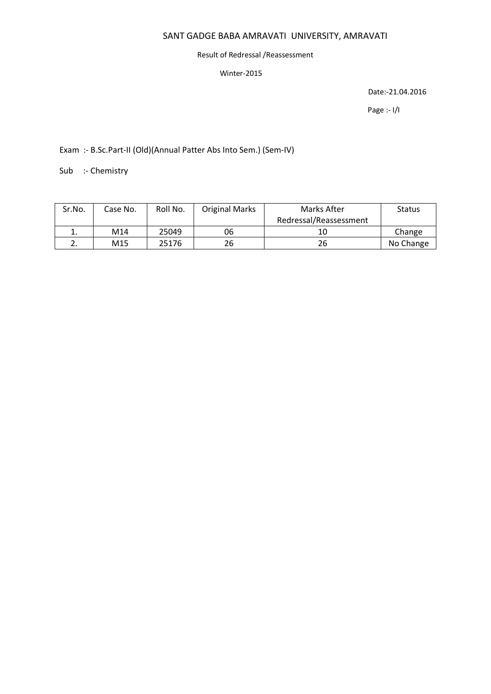## Result of Redressal /Reassessment

#### Winter-2015

Date:-21.04.2016

Page :- I/I

Exam :- B.Sc.Part-II (Old)(Annual Patter Abs Into Sem.) (Sem-IV)

Sub :- Chemistry

| Sr.No. | Case No. | Roll No. | <b>Original Marks</b> | Marks After            | <b>Status</b> |
|--------|----------|----------|-----------------------|------------------------|---------------|
|        |          |          |                       | Redressal/Reassessment |               |
|        | M14      | 25049    | 06                    | 10                     | Change        |
|        | M15      | 25176    | 26                    | 26                     | No Change     |